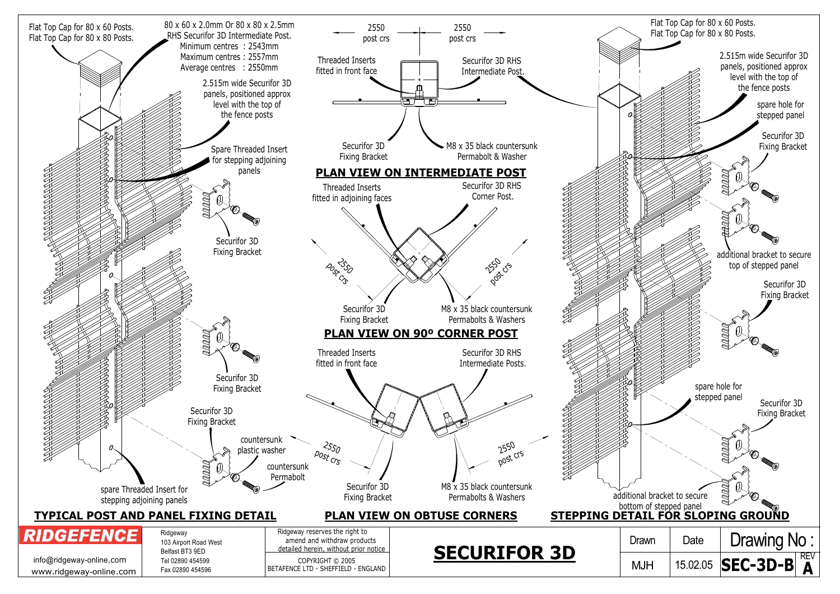